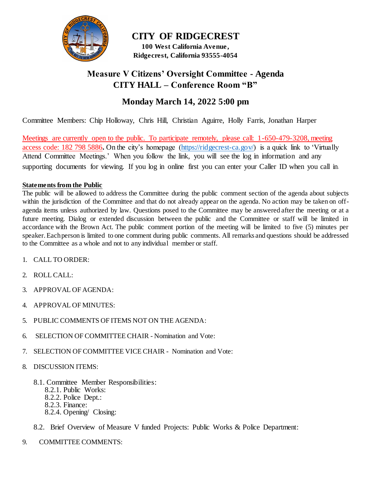

**CITY OF RIDGECREST 100 West California Avenue , Ridgecrest, California 93555-4054**

# **Measure V Citizens' Oversight Committee - Agenda CITY HALL – Conference Room "B"**

# **Monday March 14, 2022 5:00 pm**

Committee Members: Chip Holloway, Chris Hill, Christian Aguirre, Holly Farris, Jonathan Harper

Meetings are currently open to the public. To participate remotely, please call: 1-650-479-3208, meeting access code: 182 798 5886**.** On the city's homepage [\(https://ridgecrest-ca.gov/\)](https://ridgecrest-ca.gov/) is a quick link to 'Virtually Attend Committee Meetings.' When you follow the link, you will see the log in information and any supporting documents for viewing. If you log in online first you can enter your Caller ID when you call in.

### **Statements from the Public**

The public will be allowed to address the Committee during the public comment section of the agenda about subjects within the jurisdiction of the Committee and that do not already appear on the agenda. No action may be taken on offagenda items unless authorized by law. Questions posed to the Committee may be answered after the meeting or at a future meeting. Dialog or extended discussion between the public and the Committee or staff will be limited in accordance with the Brown Act. The public comment portion of the meeting will be limited to five (5) minutes per speaker. Each person is limited to one comment during public comments. All remarks and questions should be addressed to the Committee as a whole and not to any individual member or staff.

- 1. CALL TO ORDER:
- 2. ROLL CALL:
- 3. APPROVAL OF AGENDA:
- 4. APPROVAL OF MINUTES:
- 5. PUBLIC COMMENTS OF ITEMS NOT ON THE AGENDA:
- 6. SELECTION OF COMMITTEE CHAIR Nomination and Vote:
- 7. SELECTION OF COMMITTEE VICE CHAIR Nomination and Vote:
- 8. DISCUSSION ITEMS:
	- 8.1. Committee Member Responsibilities:
		- 8.2.1. Public Works:
		- 8.2.2. Police Dept.:
		- 8.2.3. Finance:
		- 8.2.4. Opening/ Closing:
	- 8.2. Brief Overview of Measure V funded Projects: Public Works & Police Department:
- 9. COMMITTEE COMMENTS: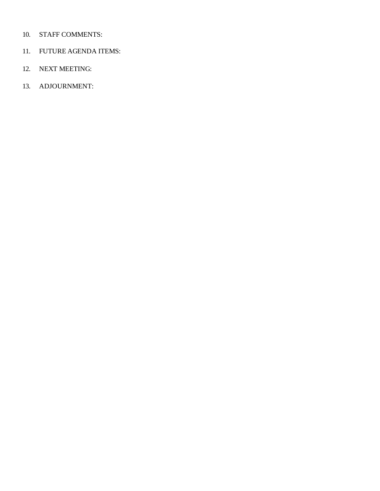### 10. STAFF COMMENTS:

- 11. FUTURE AGENDA ITEMS:
- 12. NEXT MEETING:
- 13. ADJOURNMENT: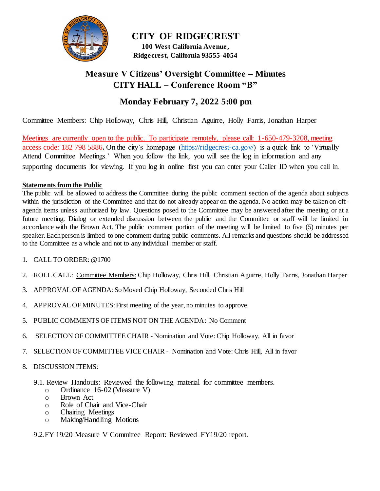

**CITY OF RIDGECREST 100 West California Avenue , Ridgecrest, California 93555-4054**

# **Measure V Citizens' Oversight Committee – Minutes CITY HALL – Conference Room "B"**

# **Monday February 7, 2022 5:00 pm**

Committee Members: Chip Holloway, Chris Hill, Christian Aguirre, Holly Farris, Jonathan Harper

Meetings are currently open to the public. To participate remotely, please call: 1-650-479-3208, meeting access code: 182 798 5886**.** On the city's homepage [\(https://ridgecrest-ca.gov/\)](https://ridgecrest-ca.gov/) is a quick link to 'Virtually Attend Committee Meetings.' When you follow the link, you will see the log in information and any supporting documents for viewing. If you log in online first you can enter your Caller ID when you call in.

### **Statements from the Public**

The public will be allowed to address the Committee during the public comment section of the agenda about subjects within the jurisdiction of the Committee and that do not already appear on the agenda. No action may be taken on offagenda items unless authorized by law. Questions posed to the Committee may be answered after the meeting or at a future meeting. Dialog or extended discussion between the public and the Committee or staff will be limited in accordance with the Brown Act. The public comment portion of the meeting will be limited to five (5) minutes per speaker. Each person is limited to one comment during public comments. All remarks and questions should be addressed to the Committee as a whole and not to any individual member or staff.

- 1. CALL TO ORDER: @1700
- 2. ROLL CALL: Committee Members: Chip Holloway, Chris Hill, Christian Aguirre, Holly Farris, Jonathan Harper
- 3. APPROVAL OF AGENDA:So Moved Chip Holloway, Seconded Chris Hill
- 4. APPROVAL OF MINUTES:First meeting of the year, no minutes to approve.
- 5. PUBLIC COMMENTS OF ITEMS NOT ON THE AGENDA: No Comment
- 6. SELECTION OF COMMITTEE CHAIR Nomination and Vote: Chip Holloway, All in favor
- 7. SELECTION OF COMMITTEE VICE CHAIR Nomination and Vote: Chris Hill, All in favor
- 8. DISCUSSION ITEMS:
	- 9.1. Review Handouts: Reviewed the following material for committee members.
		- o Ordinance 16-02 (Measure V)
		- o Brown Act
		- o Role of Chair and Vice-Chair
		- o Chairing Meetings
		- o Making/Handling Motions

### 9.2.FY 19/20 Measure V Committee Report: Reviewed FY19/20 report.